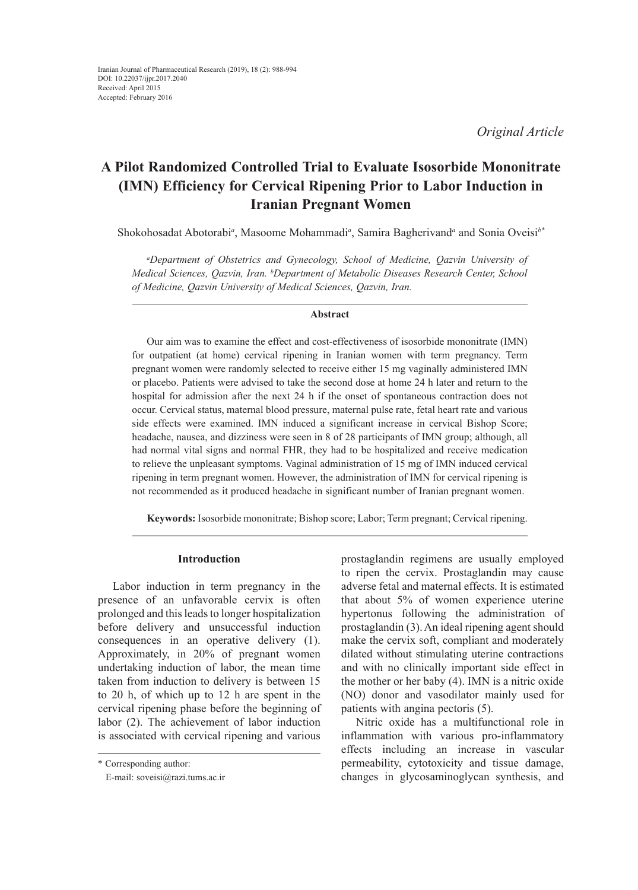*Original Article*

# **A Pilot Randomized Controlled Trial to Evaluate Isosorbide Mononitrate (IMN) Efficiency for Cervical Ripening Prior to Labor Induction in Iranian Pregnant Women**

Shokohosadat Abotorabi<sup>*a*</sup>, Masoome Mohammadi<sup>*a*</sup>, Samira Bagherivand<sup>*a*</sup> and Sonia Oveisi<sup>*b*\*</sup>

*a Department of Obstetrics and Gynecology, School of Medicine, Qazvin University of Medical Sciences, Qazvin, Iran. b Department of Metabolic Diseases Research Center, School of Medicine, Qazvin University of Medical Sciences, Qazvin, Iran.*

## **Abstract**

Our aim was to examine the effect and cost-effectiveness of isosorbide mononitrate (IMN) for outpatient (at home) cervical ripening in Iranian women with term pregnancy. Term pregnant women were randomly selected to receive either 15 mg vaginally administered IMN or placebo. Patients were advised to take the second dose at home 24 h later and return to the hospital for admission after the next 24 h if the onset of spontaneous contraction does not occur. Cervical status, maternal blood pressure, maternal pulse rate, fetal heart rate and various side effects were examined. IMN induced a significant increase in cervical Bishop Score; headache, nausea, and dizziness were seen in 8 of 28 participants of IMN group; although, all had normal vital signs and normal FHR, they had to be hospitalized and receive medication to relieve the unpleasant symptoms. Vaginal administration of 15 mg of IMN induced cervical ripening in term pregnant women. However, the administration of IMN for cervical ripening is not recommended as it produced headache in significant number of Iranian pregnant women.

**Keywords:** Isosorbide mononitrate; Bishop score; Labor; Term pregnant; Cervical ripening.

## **Introduction**

Labor induction in term pregnancy in the presence of an unfavorable cervix is often prolonged and this leads to longer hospitalization before delivery and unsuccessful induction consequences in an operative delivery (1). Approximately, in 20% of pregnant women undertaking induction of labor, the mean time taken from induction to delivery is between 15 to 20 h, of which up to 12 h are spent in the cervical ripening phase before the beginning of labor (2). The achievement of labor induction is associated with cervical ripening and various

prostaglandin regimens are usually employed to ripen the cervix. Prostaglandin may cause adverse fetal and maternal effects. It is estimated that about 5% of women experience uterine hypertonus following the administration of prostaglandin (3).An ideal ripening agent should make the cervix soft, compliant and moderately dilated without stimulating uterine contractions and with no clinically important side effect in the mother or her baby (4). IMN is a nitric oxide (NO) donor and vasodilator mainly used for patients with angina pectoris (5).

Nitric oxide has a multifunctional role in inflammation with various pro-inflammatory effects including an increase in vascular permeability, cytotoxicity and tissue damage, changes in glycosaminoglycan synthesis, and

<sup>\*</sup> Corresponding author:

E-mail: soveisi@razi.tums.ac.ir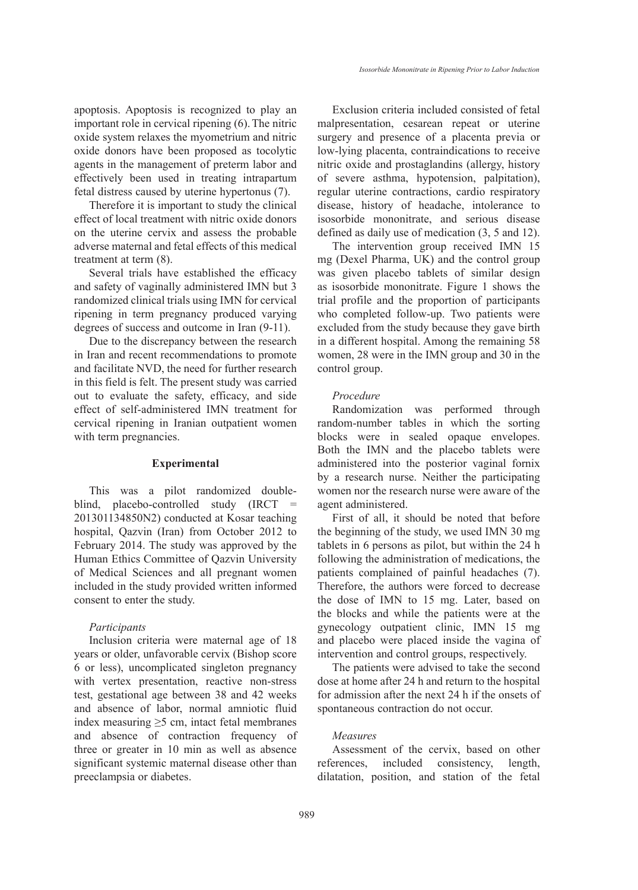apoptosis. Apoptosis is recognized to play an important role in cervical ripening (6).The nitric oxide system relaxes the myometrium and nitric oxide donors have been proposed as tocolytic agents in the management of preterm labor and effectively been used in treating intrapartum fetal distress caused by uterine hypertonus (7).

Therefore it is important to study the clinical effect of local treatment with nitric oxide donors on the uterine cervix and assess the probable adverse maternal and fetal effects of this medical treatment at term (8).

Several trials have established the efficacy and safety of vaginally administered IMN but 3 randomized clinical trials using IMN for cervical ripening in term pregnancy produced varying degrees of success and outcome in Iran (9-11).

Due to the discrepancy between the research in Iran and recent recommendations to promote and facilitate NVD, the need for further research in this field is felt. The present study was carried out to evaluate the safety, efficacy, and side effect of self-administered IMN treatment for cervical ripening in Iranian outpatient women with term pregnancies.

## **Experimental**

This was a pilot randomized doubleblind, placebo-controlled study (IRCT = 201301134850N2) conducted at Kosar teaching hospital, Qazvin (Iran) from October 2012 to February 2014. The study was approved by the Human Ethics Committee of Qazvin University of Medical Sciences and all pregnant women included in the study provided written informed consent to enter the study.

## *Participants*

Inclusion criteria were maternal age of 18 years or older, unfavorable cervix (Bishop score 6 or less), uncomplicated singleton pregnancy with vertex presentation, reactive non-stress test, gestational age between 38 and 42 weeks and absence of labor, normal amniotic fluid index measuring  $\geq$ 5 cm, intact fetal membranes and absence of contraction frequency of three or greater in 10 min as well as absence significant systemic maternal disease other than preeclampsia or diabetes.

Exclusion criteria included consisted of fetal malpresentation, cesarean repeat or uterine surgery and presence of a placenta previa or low-lying placenta, contraindications to receive nitric oxide and prostaglandins (allergy, history of severe asthma, hypotension, palpitation), regular uterine contractions, cardio respiratory disease, history of headache, intolerance to isosorbide mononitrate, and serious disease defined as daily use of medication (3, 5 and 12).

The intervention group received IMN 15 mg (Dexel Pharma, UK) and the control group was given placebo tablets of similar design as isosorbide mononitrate. Figure 1 shows the trial profile and the proportion of participants who completed follow-up. Two patients were excluded from the study because they gave birth in a different hospital. Among the remaining 58 women, 28 were in the IMN group and 30 in the control group.

## *Procedure*

Randomization was performed through random-number tables in which the sorting blocks were in sealed opaque envelopes. Both the IMN and the placebo tablets were administered into the posterior vaginal fornix by a research nurse. Neither the participating women nor the research nurse were aware of the agent administered.

First of all, it should be noted that before the beginning of the study, we used IMN 30 mg tablets in 6 persons as pilot, but within the 24 h following the administration of medications, the patients complained of painful headaches (7). Therefore, the authors were forced to decrease the dose of IMN to 15 mg. Later, based on the blocks and while the patients were at the gynecology outpatient clinic, IMN 15 mg and placebo were placed inside the vagina of intervention and control groups, respectively.

The patients were advised to take the second dose at home after 24 h and return to the hospital for admission after the next 24 h if the onsets of spontaneous contraction do not occur.

## *Measures*

Assessment of the cervix, based on other references, included consistency, length, dilatation, position, and station of the fetal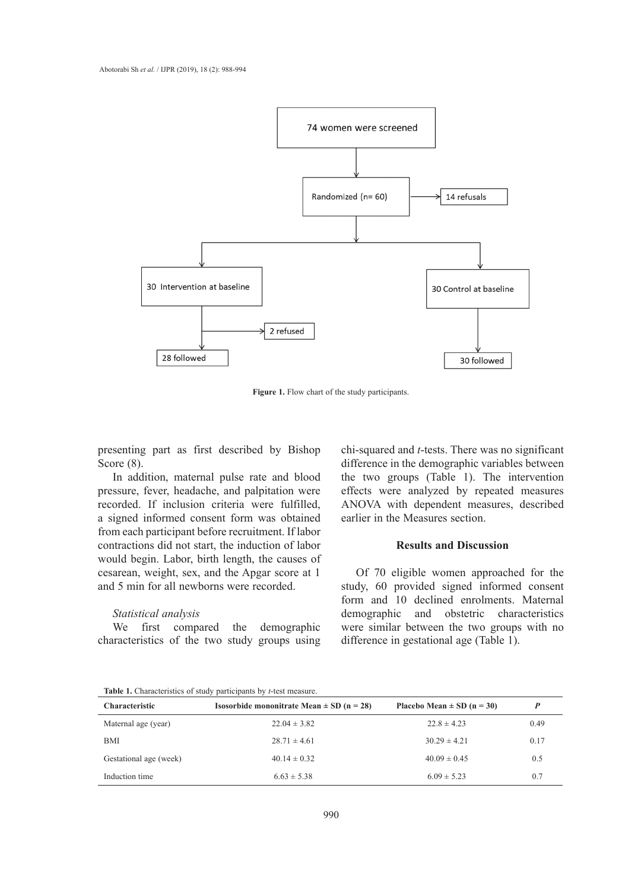

**Figure 1.** Flow chart of the study participants.

presenting part as first described by Bishop Score  $(8)$ .

In addition, maternal pulse rate and blood pressure, fever, headache, and palpitation were pressure, rever, headache, and parphation were recorded. If inclusion criteria were fulfilled, a signed informed consent form was obtained from each participant before recruitment. If labor the sorting blocks were in which the sorting blocks were in which the sorting blocks were in which the sorting blocks were in which the sorting blocks were in which the so contractions did not start, the induction of labor would begin. Labor, birth length, the causes of cesarean, weight, sex, and the Apgar score at 1 of 70 eligible women approached for the and 5 min for all newborns were recorded.

## *Statistical analysis*

We first compared the demographic characteristics of the two study groups using chi-squared and *t*-tests. There was no significant difference in the demographic variables between the two groups (Table 1). The intervention effects were analyzed by repeated measures ANOVA with dependent measures, described earlier in the Measures section.

## **Results and Discussion**

Of 70 eligible women approached for the study, 60 provided signed informed consent form and 10 declined enrolments. Maternal demographic and obstetric characteristics were similar between the two groups with no difference in gestational age (Table 1).

**Table 1.** Characteristics of study participants by *t*-test measure.

| <b>Characteristic</b>  | <b>Isosorbide mononitrate Mean <math>\pm</math> SD (n = 28)</b> | Placebo Mean $\pm$ SD (n = 30) | D    |
|------------------------|-----------------------------------------------------------------|--------------------------------|------|
| Maternal age (year)    | $22.04 \pm 3.82$                                                | $22.8 \pm 4.23$                | 0.49 |
| BMI                    | $28.71 \pm 4.61$                                                | $30.29 \pm 4.21$               | 0.17 |
| Gestational age (week) | $40.14 \pm 0.32$                                                | $40.09 \pm 0.45$               | 0.5  |
| Induction time         | $6.63 \pm 5.38$                                                 | $6.09 \pm 5.23$                | 0.7  |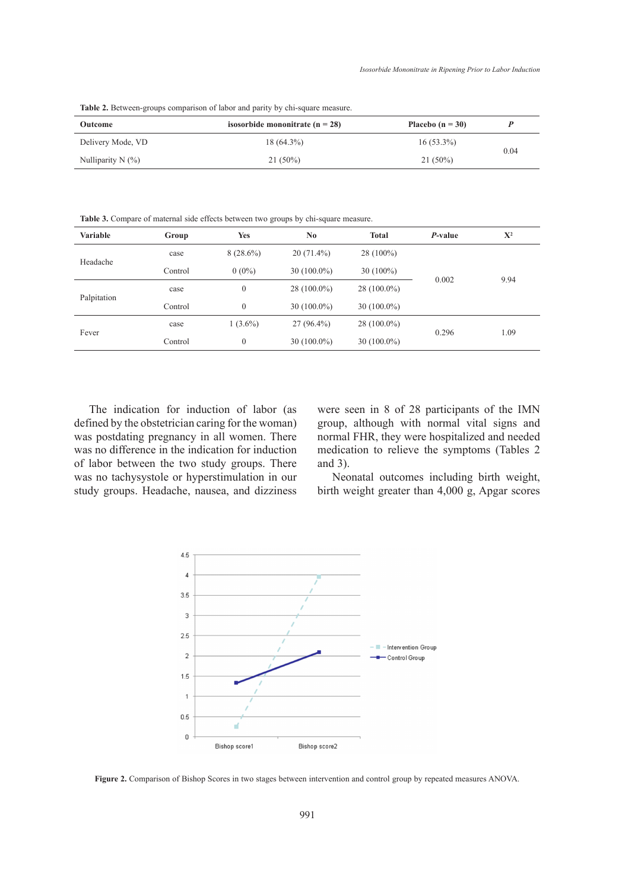Table 2. Between-groups comparison of labor and parity by chi-square measure.

| Outcome              | isosorbide mononitrate ( $n = 28$ ) | Placebo $(n = 30)$ |      |  |
|----------------------|-------------------------------------|--------------------|------|--|
| Delivery Mode, VD    | $18(64.3\%)$                        | $16(53.3\%)$       | 0.04 |  |
| Nulliparity N $(\%)$ | $21(50\%)$                          | $21(50\%)$         |      |  |

**Table 3.** Compare of maternal side effects between two groups by chi-square measure.

| Variable    | Group   | Yes          | No.           | <b>Total</b>  | P-value | $X^2$ |
|-------------|---------|--------------|---------------|---------------|---------|-------|
| Headache    | case    | $8(28.6\%)$  | $20(71.4\%)$  | $28(100\%)$   |         |       |
|             | Control | $0(0\%)$     | $30(100.0\%)$ | $30(100\%)$   | 0.002   | 9.94  |
| Palpitation | case    | $\mathbf{0}$ | 28 (100.0%)   | $28(100.0\%)$ |         |       |
|             | Control | $\mathbf{0}$ | $30(100.0\%)$ | $30(100.0\%)$ |         |       |
| Fever       | case    | $1(3.6\%)$   | $27(96.4\%)$  | $28(100.0\%)$ |         |       |
|             | Control | $\mathbf{0}$ | $30(100.0\%)$ | $30(100.0\%)$ | 0.296   | 1.09  |

The indication for induction of labor (as defined by the obstetrician caring for the woman) was postdating pregnancy in all women. There was no difference in the indication for induction of labor between the two study groups. There was no tachysystole or hyperstimulation in our study groups. Headache, nausea, and dizziness

were seen in 8 of 28 participants of the IMN group, although with normal vital signs and normal FHR, they were hospitalized and needed medication to relieve the symptoms (Tables 2 and 3).

Neonatal outcomes including birth weight, birth weight greater than 4,000 g, Apgar scores



**Figure 2.** Comparison of Bishop Scores in two stages between intervention and control group by repeated measures ANOVA.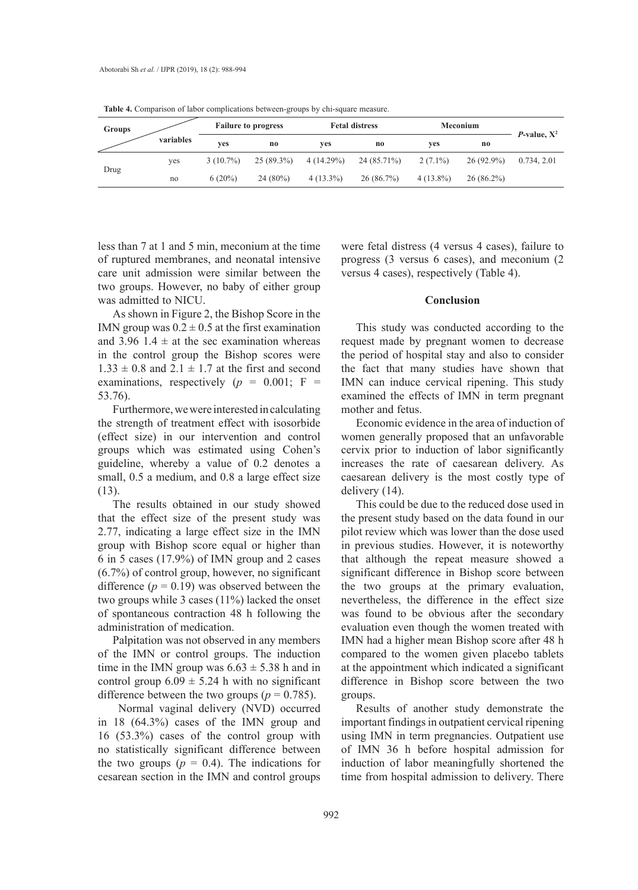| Groups | variables | <b>Failure to progress</b> |                | <b>Fetal distress</b> |             | <b>Meconium</b> |              |                        |
|--------|-----------|----------------------------|----------------|-----------------------|-------------|-----------------|--------------|------------------------|
|        |           | ves                        | n <sub>0</sub> | ves                   | no          | ves             | no           | <i>P</i> -value, $X^2$ |
| Drug   | yes       | $3(10.7\%)$                | 25 (89.3%)     | $4(14.29\%)$          | 24 (85.71%) | $2(7.1\%)$      | $26(92.9\%)$ | 0.734, 2.01            |
|        | no        | $6(20\%)$                  | $24(80\%)$     | $4(13.3\%)$           | 26(86.7%)   | $4(13.8\%)$     | $26(86.2\%)$ |                        |

**Table 4.** Comparison of labor complications between-groups by chi-square measure.

less than 7 at 1 and 5 min, meconium at the time of ruptured membranes, and neonatal intensive care unit admission were similar between the two groups. However, no baby of either group was admitted to NICU.

As shown in Figure 2, the Bishop Score in the IMN group was  $0.2 \pm 0.5$  at the first examination and 3.96 1.4  $\pm$  at the sec examination whereas in the control group the Bishop scores were  $1.33 \pm 0.8$  and  $2.1 \pm 1.7$  at the first and second examinations, respectively  $(p = 0.001; F =$ 53.76).

Furthermore, we were interested in calculating the strength of treatment effect with isosorbide (effect size) in our intervention and control groups which was estimated using Cohen's guideline, whereby a value of 0.2 denotes a small, 0.5 a medium, and 0.8 a large effect size (13).

The results obtained in our study showed that the effect size of the present study was 2.77, indicating a large effect size in the IMN group with Bishop score equal or higher than 6 in 5 cases (17.9%) of IMN group and 2 cases (6.7%) of control group, however, no significant difference  $(p = 0.19)$  was observed between the two groups while 3 cases (11%) lacked the onset of spontaneous contraction 48 h following the administration of medication.

Palpitation was not observed in any members of the IMN or control groups. The induction time in the IMN group was  $6.63 \pm 5.38$  h and in control group  $6.09 \pm 5.24$  h with no significant difference between the two groups ( $p = 0.785$ ).

 Normal vaginal delivery (NVD) occurred in 18 (64.3%) cases of the IMN group and 16 (53.3%) cases of the control group with no statistically significant difference between the two groups  $(p = 0.4)$ . The indications for cesarean section in the IMN and control groups

were fetal distress (4 versus 4 cases), failure to progress (3 versus 6 cases), and meconium (2 versus 4 cases), respectively (Table 4).

## **Conclusion**

This study was conducted according to the request made by pregnant women to decrease the period of hospital stay and also to consider the fact that many studies have shown that IMN can induce cervical ripening. This study examined the effects of IMN in term pregnant mother and fetus.

Economic evidence in the area of induction of women generally proposed that an unfavorable cervix prior to induction of labor significantly increases the rate of caesarean delivery. As caesarean delivery is the most costly type of delivery (14).

This could be due to the reduced dose used in the present study based on the data found in our pilot review which was lower than the dose used in previous studies. However, it is noteworthy that although the repeat measure showed a significant difference in Bishop score between the two groups at the primary evaluation, nevertheless, the difference in the effect size was found to be obvious after the secondary evaluation even though the women treated with IMN had a higher mean Bishop score after 48 h compared to the women given placebo tablets at the appointment which indicated a significant difference in Bishop score between the two groups.

Results of another study demonstrate the important findings in outpatient cervical ripening using IMN in term pregnancies. Outpatient use of IMN 36 h before hospital admission for induction of labor meaningfully shortened the time from hospital admission to delivery. There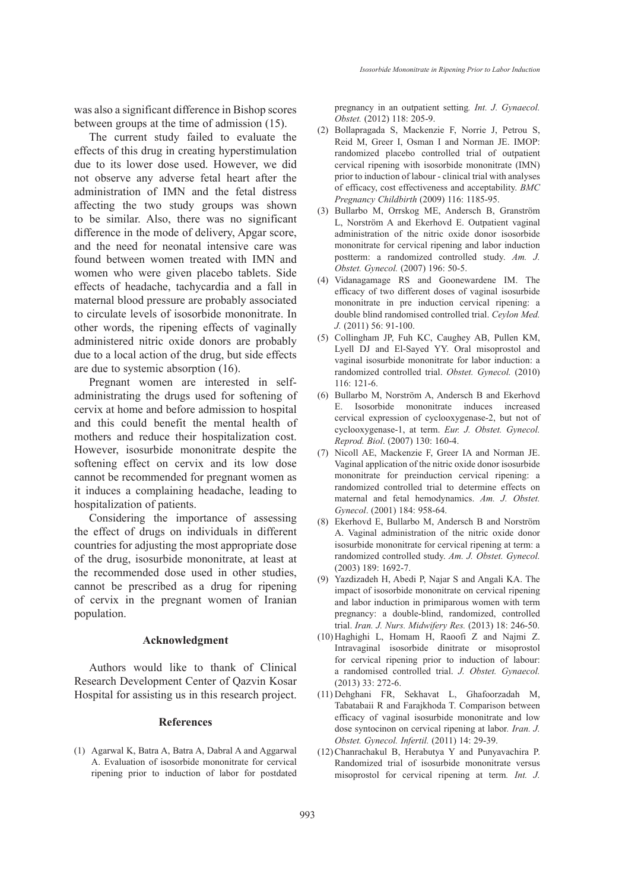was also a significant difference in Bishop scores between groups at the time of admission (15).

The current study failed to evaluate the effects of this drug in creating hyperstimulation due to its lower dose used. However, we did not observe any adverse fetal heart after the administration of IMN and the fetal distress affecting the two study groups was shown to be similar. Also, there was no significant difference in the mode of delivery, Apgar score, and the need for neonatal intensive care was found between women treated with IMN and women who were given placebo tablets. Side effects of headache, tachycardia and a fall in maternal blood pressure are probably associated to circulate levels of isosorbide mononitrate. In other words, the ripening effects of vaginally administered nitric oxide donors are probably due to a local action of the drug, but side effects are due to systemic absorption (16).

Pregnant women are interested in selfadministrating the drugs used for softening of cervix at home and before admission to hospital and this could benefit the mental health of mothers and reduce their hospitalization cost. However, isosurbide mononitrate despite the softening effect on cervix and its low dose cannot be recommended for pregnant women as it induces a complaining headache, leading to hospitalization of patients.

Considering the importance of assessing the effect of drugs on individuals in different countries for adjusting the most appropriate dose of the drug, isosurbide mononitrate, at least at the recommended dose used in other studies, cannot be prescribed as a drug for ripening of cervix in the pregnant women of Iranian population.

#### **Acknowledgment**

Authors would like to thank of Clinical Research Development Center of Qazvin Kosar Hospital for assisting us in this research project.

## **References**

(1) Agarwal K, Batra A, Batra A, Dabral A and Aggarwal (12) A. Evaluation of isosorbide mononitrate for cervical ripening prior to induction of labor for postdated

pregnancy in an outpatient setting*. Int. J. Gynaecol. Obstet.* (2012) 118: 205-9.

- Bollapragada S, Mackenzie F, Norrie J, Petrou S, (2) Reid M, Greer I, Osman I and Norman JE. IMOP: randomized placebo controlled trial of outpatient cervical ripening with isosorbide mononitrate (IMN) prior to induction of labour - clinical trial with analyses of efficacy, cost effectiveness and acceptability. *BMC Pregnancy Childbirth* (2009) 116: 1185-95.
- (3) Bullarbo M, Orrskog ME, Andersch B, Granström L, Norström A and Ekerhovd E. Outpatient vaginal administration of the nitric oxide donor isosorbide mononitrate for cervical ripening and labor induction postterm: a randomized controlled study. *Am. J. Obstet. Gynecol.* (2007) 196: 50-5.
- Vidanagamage RS and Goonewardene IM. The (4) efficacy of two different doses of vaginal isosurbide mononitrate in pre induction cervical ripening: a double blind randomised controlled trial. *Ceylon Med. J.* (2011) 56: 91-100.
- (5) Collingham JP, Fuh KC, Caughey AB, Pullen KM, Lyell DJ and El-Sayed YY. Oral misoprostol and vaginal isosurbide mononitrate for labor induction: a randomized controlled trial. *Obstet. Gynecol.* (2010) 116: 121-6.
- (6) Bullarbo M, Norström A, Andersch B and Ekerhovd E. Isosorbide mononitrate induces increased cervical expression of cyclooxygenase-2, but not of cyclooxygenase-1, at term. *Eur. J. Obstet. Gynecol. Reprod. Biol*. (2007) 130: 160-4.
- (7) Nicoll AE, Mackenzie F, Greer IA and Norman JE. Vaginal application of the nitric oxide donor isosurbide mononitrate for preinduction cervical ripening: a randomized controlled trial to determine effects on maternal and fetal hemodynamics. *Am. J. Obstet. Gynecol*. (2001) 184: 958-64.
- Ekerhovd E, Bullarbo M, Andersch B and Norström (8) A. Vaginal administration of the nitric oxide donor isosurbide mononitrate for cervical ripening at term: a randomized controlled study. *Am. J. Obstet. Gynecol.* (2003) 189: 1692-7.
- (9) Yazdizadeh H, Abedi P, Najar S and Angali KA. The impact of isosorbide mononitrate on cervical ripening and labor induction in primiparous women with term pregnancy: a double-blind, randomized, controlled trial. *Iran. J. Nurs. Midwifery Res.* (2013) 18: 246-50.
- (10) Haghighi L, Homam H, Raoofi Z and Najmi Z. Intravaginal isosorbide dinitrate or misoprostol for cervical ripening prior to induction of labour: a randomised controlled trial. *J. Obstet. Gynaecol.* (2013) 33: 272-6.
- (11) Dehghani FR, Sekhavat L, Ghafoorzadah M, Tabatabaii R and Farajkhoda T. Comparison between efficacy of vaginal isosurbide mononitrate and low dose syntocinon on cervical ripening at labor*. Iran. J. Obstet. Gynecol. Infertil.* (2011) 14: 29-39.
- (12) Chanrachakul B, Herabutya Y and Punyavachira P. Randomized trial of isosurbide mononitrate versus misoprostol for cervical ripening at term*. Int. J.*